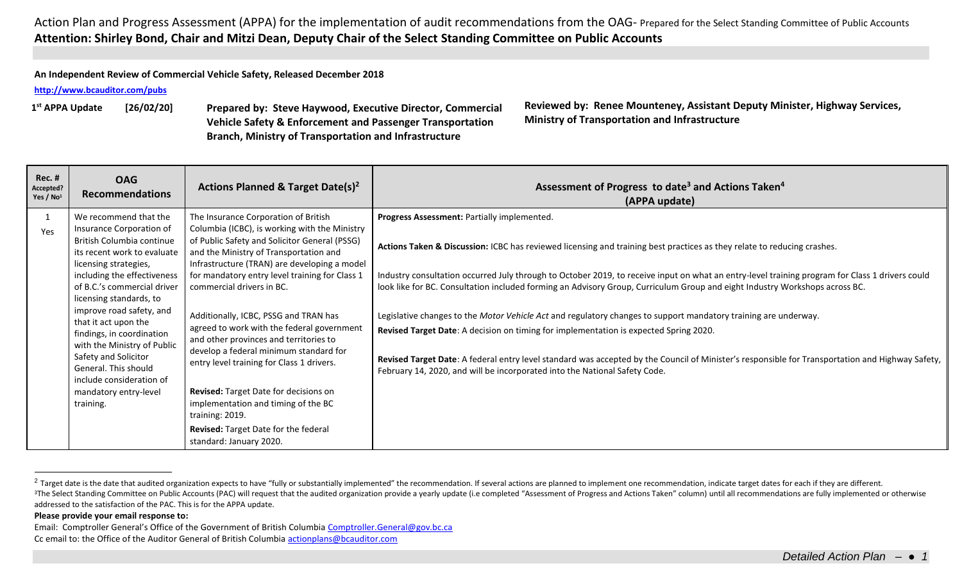**An Independent Review of Commercial Vehicle Safety, Released December 2018**

**<http://www.bcauditor.com/pubs>**

1<sup>st</sup> APPA Update

**st APPA Update [26/02/20] Prepared by: Steve Haywood, Executive Director, Commercial Vehicle Safety & Enforcement and Passenger Transportation Branch, Ministry of Transportation and Infrastructure**

**Reviewed by: Renee Mounteney, Assistant Deputy Minister, Highway Services, Ministry of Transportation and Infrastructure**

| <b>Rec. #</b><br>Accepted?<br>Yes / $No1$ | <b>OAG</b><br><b>Recommendations</b>                                                                                                                                                                                                                                                                                                                                                                                                                              | Actions Planned & Target Date(s) <sup>2</sup>                                                                                                                                                                                                                                                                                                                                                                                                                                                                                                                                                                                                                                                                 | Assessment of Progress to date <sup>3</sup> and Actions Taken <sup>4</sup><br>(APPA update)                                                                                                                                                                                                                                                                                                                                                                                                                                                                                                                                                                                                                                                                                                                                                                                                            |
|-------------------------------------------|-------------------------------------------------------------------------------------------------------------------------------------------------------------------------------------------------------------------------------------------------------------------------------------------------------------------------------------------------------------------------------------------------------------------------------------------------------------------|---------------------------------------------------------------------------------------------------------------------------------------------------------------------------------------------------------------------------------------------------------------------------------------------------------------------------------------------------------------------------------------------------------------------------------------------------------------------------------------------------------------------------------------------------------------------------------------------------------------------------------------------------------------------------------------------------------------|--------------------------------------------------------------------------------------------------------------------------------------------------------------------------------------------------------------------------------------------------------------------------------------------------------------------------------------------------------------------------------------------------------------------------------------------------------------------------------------------------------------------------------------------------------------------------------------------------------------------------------------------------------------------------------------------------------------------------------------------------------------------------------------------------------------------------------------------------------------------------------------------------------|
| Yes                                       | We recommend that the<br>Insurance Corporation of<br>British Columbia continue<br>its recent work to evaluate<br>licensing strategies,<br>including the effectiveness<br>of B.C.'s commercial driver<br>licensing standards, to<br>improve road safety, and<br>that it act upon the<br>findings, in coordination<br>with the Ministry of Public<br>Safety and Solicitor<br>General. This should<br>include consideration of<br>mandatory entry-level<br>training. | The Insurance Corporation of British<br>Columbia (ICBC), is working with the Ministry<br>of Public Safety and Solicitor General (PSSG)<br>and the Ministry of Transportation and<br>Infrastructure (TRAN) are developing a model<br>for mandatory entry level training for Class 1<br>commercial drivers in BC.<br>Additionally, ICBC, PSSG and TRAN has<br>agreed to work with the federal government<br>and other provinces and territories to<br>develop a federal minimum standard for<br>entry level training for Class 1 drivers.<br>Revised: Target Date for decisions on<br>implementation and timing of the BC<br>training: 2019.<br>Revised: Target Date for the federal<br>standard: January 2020. | Progress Assessment: Partially implemented.<br>Actions Taken & Discussion: ICBC has reviewed licensing and training best practices as they relate to reducing crashes.<br>Industry consultation occurred July through to October 2019, to receive input on what an entry-level training program for Class 1 drivers could<br>look like for BC. Consultation included forming an Advisory Group, Curriculum Group and eight Industry Workshops across BC.<br>Legislative changes to the Motor Vehicle Act and regulatory changes to support mandatory training are underway.<br>Revised Target Date: A decision on timing for implementation is expected Spring 2020.<br>Revised Target Date: A federal entry level standard was accepted by the Council of Minister's responsible for Transportation and Highway Safety,<br>February 14, 2020, and will be incorporated into the National Safety Code. |

<sup>&</sup>lt;sup>2</sup> Target date is the date that audited organization expects to have "fully or substantially implemented" the recommendation. If several actions are planned to implement one recommendation, indicate target dates for each

## **Please provide your email response to:**

 $\overline{a}$ 

Email: Comptroller General's Office of the Government of British Columbia [Comptroller.General@gov.bc.ca](mailto:Comptroller.General@gov.bc.ca) Cc email to: the Office of the Auditor General of British Columbi[a actionplans@bcauditor.com](mailto:actionplans@bcauditor.com)

<sup>&</sup>lt;sup>3</sup>The Select Standing Committee on Public Accounts (PAC) will request that the audited organization provide a yearly update (i.e completed "Assessment of Progress and Actions Taken" column) until all recommendations are f addressed to the satisfaction of the PAC. This is for the APPA update.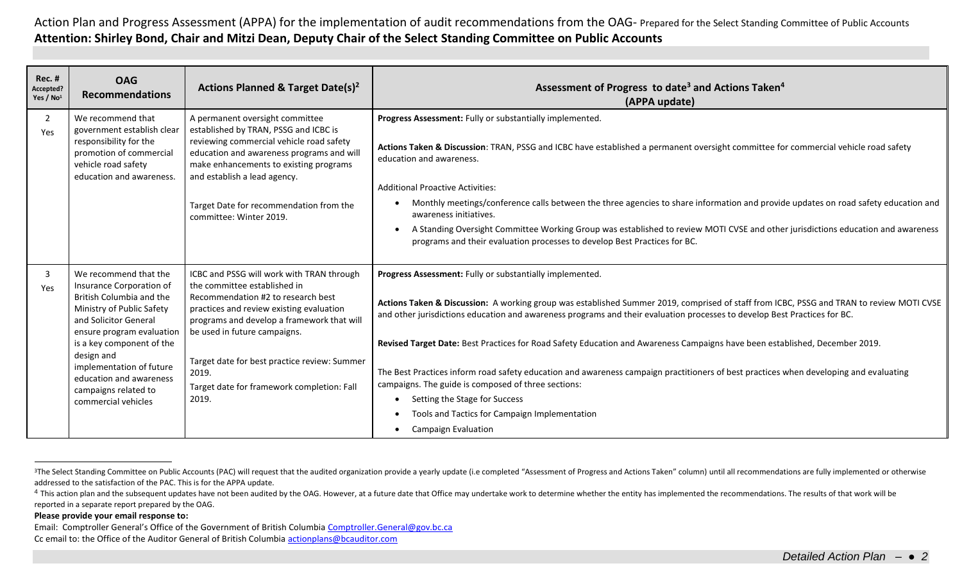| <b>Rec. #</b><br>Accepted?<br>Yes / No <sup>1</sup> | <b>OAG</b><br><b>Recommendations</b>                                                                                                                                                                                                                                                                              | Actions Planned & Target Date(s) <sup>2</sup>                                                                                                                                                                                                                                                                                                             | Assessment of Progress to date <sup>3</sup> and Actions Taken <sup>4</sup><br>(APPA update)                                                                                                                                                                                                                                                                                                                                                                                                                                                                                                                                                                                                                                                                                      |
|-----------------------------------------------------|-------------------------------------------------------------------------------------------------------------------------------------------------------------------------------------------------------------------------------------------------------------------------------------------------------------------|-----------------------------------------------------------------------------------------------------------------------------------------------------------------------------------------------------------------------------------------------------------------------------------------------------------------------------------------------------------|----------------------------------------------------------------------------------------------------------------------------------------------------------------------------------------------------------------------------------------------------------------------------------------------------------------------------------------------------------------------------------------------------------------------------------------------------------------------------------------------------------------------------------------------------------------------------------------------------------------------------------------------------------------------------------------------------------------------------------------------------------------------------------|
| $\overline{2}$<br>Yes                               | We recommend that<br>government establish clear<br>responsibility for the<br>promotion of commercial<br>vehicle road safety<br>education and awareness.                                                                                                                                                           | A permanent oversight committee<br>established by TRAN, PSSG and ICBC is<br>reviewing commercial vehicle road safety<br>education and awareness programs and will<br>make enhancements to existing programs<br>and establish a lead agency.<br>Target Date for recommendation from the<br>committee: Winter 2019.                                         | Progress Assessment: Fully or substantially implemented.<br>Actions Taken & Discussion: TRAN, PSSG and ICBC have established a permanent oversight committee for commercial vehicle road safety<br>education and awareness.<br><b>Additional Proactive Activities:</b><br>Monthly meetings/conference calls between the three agencies to share information and provide updates on road safety education and<br>awareness initiatives.<br>A Standing Oversight Committee Working Group was established to review MOTI CVSE and other jurisdictions education and awareness<br>programs and their evaluation processes to develop Best Practices for BC.                                                                                                                          |
| $\overline{3}$<br>Yes                               | We recommend that the<br>Insurance Corporation of<br>British Columbia and the<br>Ministry of Public Safety<br>and Solicitor General<br>ensure program evaluation<br>is a key component of the<br>design and<br>implementation of future<br>education and awareness<br>campaigns related to<br>commercial vehicles | ICBC and PSSG will work with TRAN through<br>the committee established in<br>Recommendation #2 to research best<br>practices and review existing evaluation<br>programs and develop a framework that will<br>be used in future campaigns.<br>Target date for best practice review: Summer<br>2019.<br>Target date for framework completion: Fall<br>2019. | Progress Assessment: Fully or substantially implemented.<br>Actions Taken & Discussion: A working group was established Summer 2019, comprised of staff from ICBC, PSSG and TRAN to review MOTI CVSE<br>and other jurisdictions education and awareness programs and their evaluation processes to develop Best Practices for BC.<br>Revised Target Date: Best Practices for Road Safety Education and Awareness Campaigns have been established, December 2019.<br>The Best Practices inform road safety education and awareness campaign practitioners of best practices when developing and evaluating<br>campaigns. The guide is composed of three sections:<br>Setting the Stage for Success<br>Tools and Tactics for Campaign Implementation<br><b>Campaign Evaluation</b> |

## **Please provide your email response to:**

 $\overline{a}$ 

Email: Comptroller General's Office of the Government of British Columbia [Comptroller.General@gov.bc.ca](mailto:Comptroller.General@gov.bc.ca) Cc email to: the Office of the Auditor General of British Columbi[a actionplans@bcauditor.com](mailto:actionplans@bcauditor.com)

<sup>&</sup>lt;sup>3</sup>The Select Standing Committee on Public Accounts (PAC) will request that the audited organization provide a yearly update (i.e completed "Assessment of Progress and Actions Taken" column) until all recommendations are f addressed to the satisfaction of the PAC. This is for the APPA update.

<sup>&</sup>lt;sup>4</sup> This action plan and the subsequent updates have not been audited by the OAG. However, at a future date that Office may undertake work to determine whether the entity has implemented the recommendations. The results of reported in a separate report prepared by the OAG.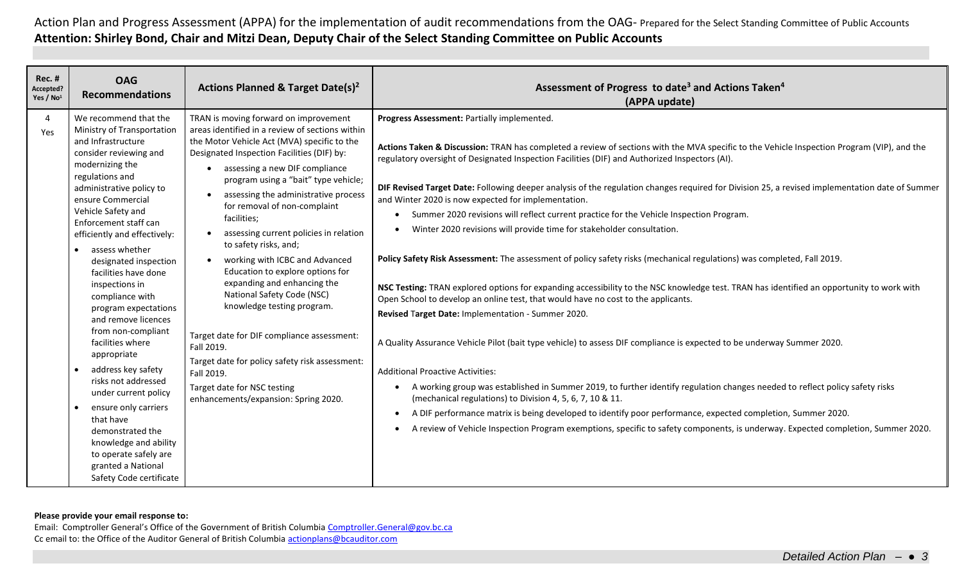| <b>Rec. #</b><br>Accepted?<br>Yes / $No1$ | <b>OAG</b><br><b>Recommendations</b>                                                                                                                                                                                                                                                                                                                                                                                                                                                                                                                                                                                                                                                                                                                              | <b>Actions Planned &amp; Target Date(s)<sup>2</sup></b>                                                                                                                                                                                                                                                                                                                                                                                                                                                                                                                                                                                                                                                                                                                                                                                           | Assessment of Progress to date <sup>3</sup> and Actions Taken <sup>4</sup><br>(APPA update)                                                                                                                                                                                                                                                                                                                                                                                                                                                                                                                                                                                                                                                                                                                                                                                                                                                                                                                                                                                                                                                                                                                                                                                                                                                                                                                                                                                                                                                                                                                                                                                                                      |
|-------------------------------------------|-------------------------------------------------------------------------------------------------------------------------------------------------------------------------------------------------------------------------------------------------------------------------------------------------------------------------------------------------------------------------------------------------------------------------------------------------------------------------------------------------------------------------------------------------------------------------------------------------------------------------------------------------------------------------------------------------------------------------------------------------------------------|---------------------------------------------------------------------------------------------------------------------------------------------------------------------------------------------------------------------------------------------------------------------------------------------------------------------------------------------------------------------------------------------------------------------------------------------------------------------------------------------------------------------------------------------------------------------------------------------------------------------------------------------------------------------------------------------------------------------------------------------------------------------------------------------------------------------------------------------------|------------------------------------------------------------------------------------------------------------------------------------------------------------------------------------------------------------------------------------------------------------------------------------------------------------------------------------------------------------------------------------------------------------------------------------------------------------------------------------------------------------------------------------------------------------------------------------------------------------------------------------------------------------------------------------------------------------------------------------------------------------------------------------------------------------------------------------------------------------------------------------------------------------------------------------------------------------------------------------------------------------------------------------------------------------------------------------------------------------------------------------------------------------------------------------------------------------------------------------------------------------------------------------------------------------------------------------------------------------------------------------------------------------------------------------------------------------------------------------------------------------------------------------------------------------------------------------------------------------------------------------------------------------------------------------------------------------------|
| 4<br>Yes                                  | We recommend that the<br>Ministry of Transportation<br>and Infrastructure<br>consider reviewing and<br>modernizing the<br>regulations and<br>administrative policy to<br>ensure Commercial<br>Vehicle Safety and<br>Enforcement staff can<br>efficiently and effectively:<br>assess whether<br>$\bullet$<br>designated inspection<br>facilities have done<br>inspections in<br>compliance with<br>program expectations<br>and remove licences<br>from non-compliant<br>facilities where<br>appropriate<br>address key safety<br>$\bullet$<br>risks not addressed<br>under current policy<br>ensure only carriers<br>$\bullet$<br>that have<br>demonstrated the<br>knowledge and ability<br>to operate safely are<br>granted a National<br>Safety Code certificate | TRAN is moving forward on improvement<br>areas identified in a review of sections within<br>the Motor Vehicle Act (MVA) specific to the<br>Designated Inspection Facilities (DIF) by:<br>assessing a new DIF compliance<br>$\bullet$<br>program using a "bait" type vehicle;<br>assessing the administrative process<br>$\bullet$<br>for removal of non-complaint<br>facilities;<br>assessing current policies in relation<br>$\bullet$<br>to safety risks, and;<br>working with ICBC and Advanced<br>$\bullet$<br>Education to explore options for<br>expanding and enhancing the<br>National Safety Code (NSC)<br>knowledge testing program.<br>Target date for DIF compliance assessment:<br>Fall 2019.<br>Target date for policy safety risk assessment:<br>Fall 2019.<br>Target date for NSC testing<br>enhancements/expansion: Spring 2020. | Progress Assessment: Partially implemented.<br>Actions Taken & Discussion: TRAN has completed a review of sections with the MVA specific to the Vehicle Inspection Program (VIP), and the<br>regulatory oversight of Designated Inspection Facilities (DIF) and Authorized Inspectors (AI).<br>DIF Revised Target Date: Following deeper analysis of the regulation changes required for Division 25, a revised implementation date of Summer<br>and Winter 2020 is now expected for implementation.<br>Summer 2020 revisions will reflect current practice for the Vehicle Inspection Program.<br>Winter 2020 revisions will provide time for stakeholder consultation.<br>Policy Safety Risk Assessment: The assessment of policy safety risks (mechanical regulations) was completed, Fall 2019.<br>NSC Testing: TRAN explored options for expanding accessibility to the NSC knowledge test. TRAN has identified an opportunity to work with<br>Open School to develop an online test, that would have no cost to the applicants.<br>Revised Target Date: Implementation - Summer 2020.<br>A Quality Assurance Vehicle Pilot (bait type vehicle) to assess DIF compliance is expected to be underway Summer 2020.<br><b>Additional Proactive Activities:</b><br>A working group was established in Summer 2019, to further identify regulation changes needed to reflect policy safety risks<br>(mechanical regulations) to Division 4, 5, 6, 7, 10 & 11.<br>A DIF performance matrix is being developed to identify poor performance, expected completion, Summer 2020.<br>A review of Vehicle Inspection Program exemptions, specific to safety components, is underway. Expected completion, Summer 2020. |

**Please provide your email response to:**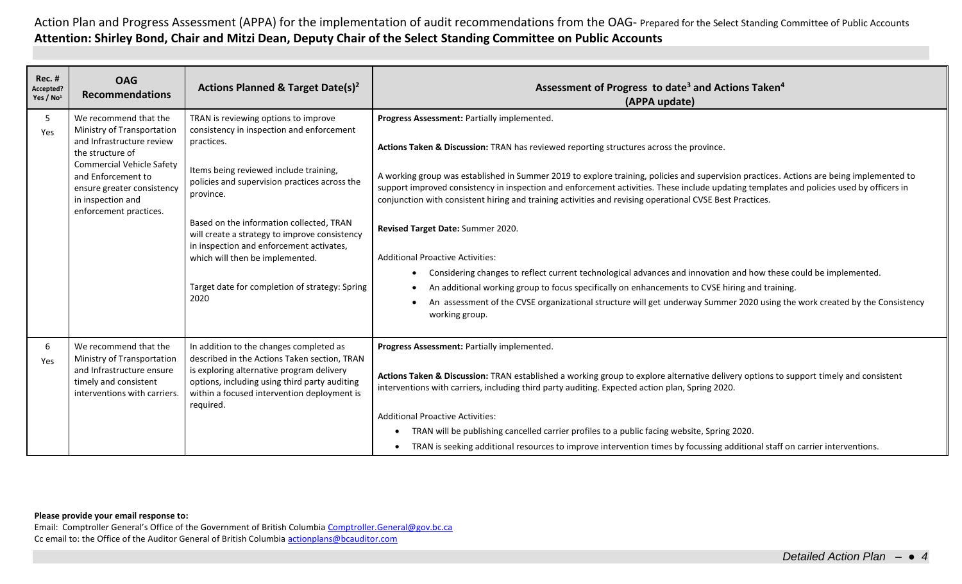| <b>Rec. #</b><br>Accepted?<br>Yes / No <sup>1</sup> | <b>OAG</b><br><b>Recommendations</b>                                                                                                                                                                                                        | Actions Planned & Target Date(s) <sup>2</sup>                                                                                                                                                                                                                                                                                                                                                                                                 | Assessment of Progress to date <sup>3</sup> and Actions Taken <sup>4</sup><br>(APPA update)                                                                                                                                                                                                                                                                                                                                                                                                                                                                                                                                                                                                                                                                                                                                                                                                                                                                                                                                |
|-----------------------------------------------------|---------------------------------------------------------------------------------------------------------------------------------------------------------------------------------------------------------------------------------------------|-----------------------------------------------------------------------------------------------------------------------------------------------------------------------------------------------------------------------------------------------------------------------------------------------------------------------------------------------------------------------------------------------------------------------------------------------|----------------------------------------------------------------------------------------------------------------------------------------------------------------------------------------------------------------------------------------------------------------------------------------------------------------------------------------------------------------------------------------------------------------------------------------------------------------------------------------------------------------------------------------------------------------------------------------------------------------------------------------------------------------------------------------------------------------------------------------------------------------------------------------------------------------------------------------------------------------------------------------------------------------------------------------------------------------------------------------------------------------------------|
| 5<br>Yes                                            | We recommend that the<br>Ministry of Transportation<br>and Infrastructure review<br>the structure of<br><b>Commercial Vehicle Safety</b><br>and Enforcement to<br>ensure greater consistency<br>in inspection and<br>enforcement practices. | TRAN is reviewing options to improve<br>consistency in inspection and enforcement<br>practices.<br>Items being reviewed include training,<br>policies and supervision practices across the<br>province.<br>Based on the information collected, TRAN<br>will create a strategy to improve consistency<br>in inspection and enforcement activates,<br>which will then be implemented.<br>Target date for completion of strategy: Spring<br>2020 | Progress Assessment: Partially implemented.<br>Actions Taken & Discussion: TRAN has reviewed reporting structures across the province.<br>A working group was established in Summer 2019 to explore training, policies and supervision practices. Actions are being implemented to<br>support improved consistency in inspection and enforcement activities. These include updating templates and policies used by officers in<br>conjunction with consistent hiring and training activities and revising operational CVSE Best Practices.<br>Revised Target Date: Summer 2020.<br><b>Additional Proactive Activities:</b><br>Considering changes to reflect current technological advances and innovation and how these could be implemented.<br>An additional working group to focus specifically on enhancements to CVSE hiring and training.<br>$\bullet$<br>An assessment of the CVSE organizational structure will get underway Summer 2020 using the work created by the Consistency<br>$\bullet$<br>working group. |
| 6<br>Yes                                            | We recommend that the<br>Ministry of Transportation<br>and Infrastructure ensure<br>timely and consistent<br>interventions with carriers.                                                                                                   | In addition to the changes completed as<br>described in the Actions Taken section, TRAN<br>is exploring alternative program delivery<br>options, including using third party auditing<br>within a focused intervention deployment is<br>required.                                                                                                                                                                                             | Progress Assessment: Partially implemented.<br>Actions Taken & Discussion: TRAN established a working group to explore alternative delivery options to support timely and consistent<br>interventions with carriers, including third party auditing. Expected action plan, Spring 2020.<br><b>Additional Proactive Activities:</b><br>TRAN will be publishing cancelled carrier profiles to a public facing website, Spring 2020.<br>TRAN is seeking additional resources to improve intervention times by focussing additional staff on carrier interventions.                                                                                                                                                                                                                                                                                                                                                                                                                                                            |

**Please provide your email response to:**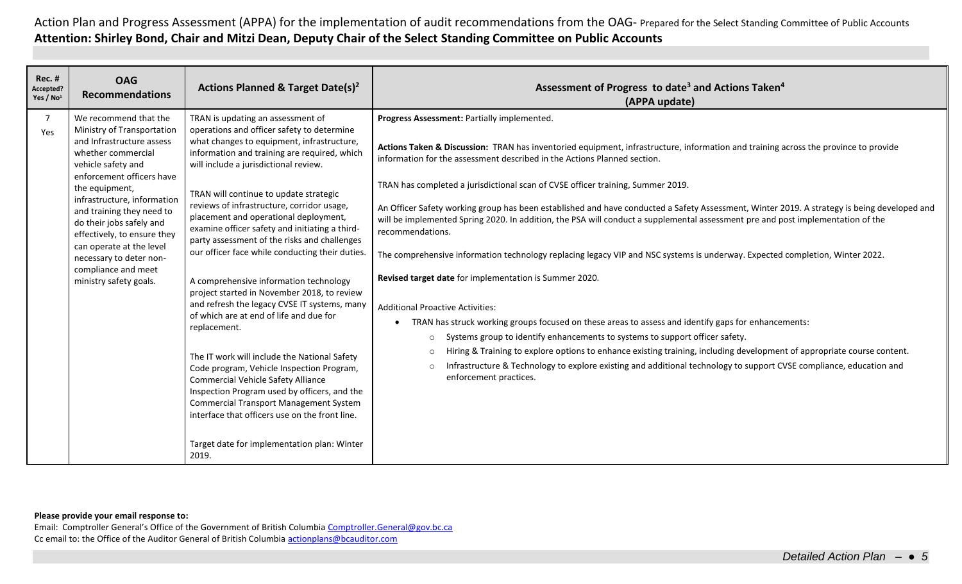| <b>Rec. #</b><br>Accepted?<br>Yes / No <sup>1</sup> | <b>OAG</b><br><b>Recommendations</b>                                                                                                                                                                                                                                                                                                                                                                       | Actions Planned & Target Date(s) <sup>2</sup>                                                                                                                                                                                                                                                                                                                                                                                                                                                                                                                                                                                                                                                                                                                                                                                                                                                                                                                                                                                                                         | Assessment of Progress to date <sup>3</sup> and Actions Taken <sup>4</sup><br>(APPA update)                                                                                                                                                                                                                                                                                                                                                                                                                                                                                                                                                                                                                                                                                                                                                                                                                                                                                                                                                                                                                                                                                                                                                                                                                                                                                                                   |
|-----------------------------------------------------|------------------------------------------------------------------------------------------------------------------------------------------------------------------------------------------------------------------------------------------------------------------------------------------------------------------------------------------------------------------------------------------------------------|-----------------------------------------------------------------------------------------------------------------------------------------------------------------------------------------------------------------------------------------------------------------------------------------------------------------------------------------------------------------------------------------------------------------------------------------------------------------------------------------------------------------------------------------------------------------------------------------------------------------------------------------------------------------------------------------------------------------------------------------------------------------------------------------------------------------------------------------------------------------------------------------------------------------------------------------------------------------------------------------------------------------------------------------------------------------------|---------------------------------------------------------------------------------------------------------------------------------------------------------------------------------------------------------------------------------------------------------------------------------------------------------------------------------------------------------------------------------------------------------------------------------------------------------------------------------------------------------------------------------------------------------------------------------------------------------------------------------------------------------------------------------------------------------------------------------------------------------------------------------------------------------------------------------------------------------------------------------------------------------------------------------------------------------------------------------------------------------------------------------------------------------------------------------------------------------------------------------------------------------------------------------------------------------------------------------------------------------------------------------------------------------------------------------------------------------------------------------------------------------------|
| $\overline{7}$<br>Yes                               | We recommend that the<br>Ministry of Transportation<br>and Infrastructure assess<br>whether commercial<br>vehicle safety and<br>enforcement officers have<br>the equipment,<br>infrastructure, information<br>and training they need to<br>do their jobs safely and<br>effectively, to ensure they<br>can operate at the level<br>necessary to deter non-<br>compliance and meet<br>ministry safety goals. | TRAN is updating an assessment of<br>operations and officer safety to determine<br>what changes to equipment, infrastructure,<br>information and training are required, which<br>will include a jurisdictional review.<br>TRAN will continue to update strategic<br>reviews of infrastructure, corridor usage,<br>placement and operational deployment,<br>examine officer safety and initiating a third-<br>party assessment of the risks and challenges<br>our officer face while conducting their duties.<br>A comprehensive information technology<br>project started in November 2018, to review<br>and refresh the legacy CVSE IT systems, many<br>of which are at end of life and due for<br>replacement.<br>The IT work will include the National Safety<br>Code program, Vehicle Inspection Program,<br><b>Commercial Vehicle Safety Alliance</b><br>Inspection Program used by officers, and the<br><b>Commercial Transport Management System</b><br>interface that officers use on the front line.<br>Target date for implementation plan: Winter<br>2019. | Progress Assessment: Partially implemented.<br>Actions Taken & Discussion: TRAN has inventoried equipment, infrastructure, information and training across the province to provide<br>information for the assessment described in the Actions Planned section.<br>TRAN has completed a jurisdictional scan of CVSE officer training, Summer 2019.<br>An Officer Safety working group has been established and have conducted a Safety Assessment, Winter 2019. A strategy is being developed and<br>will be implemented Spring 2020. In addition, the PSA will conduct a supplemental assessment pre and post implementation of the<br>recommendations.<br>The comprehensive information technology replacing legacy VIP and NSC systems is underway. Expected completion, Winter 2022.<br>Revised target date for implementation is Summer 2020.<br><b>Additional Proactive Activities:</b><br>TRAN has struck working groups focused on these areas to assess and identify gaps for enhancements:<br>$\bullet$<br>Systems group to identify enhancements to systems to support officer safety.<br>$\circ$<br>Hiring & Training to explore options to enhance existing training, including development of appropriate course content.<br>$\circ$<br>Infrastructure & Technology to explore existing and additional technology to support CVSE compliance, education and<br>$\circ$<br>enforcement practices. |

**Please provide your email response to:**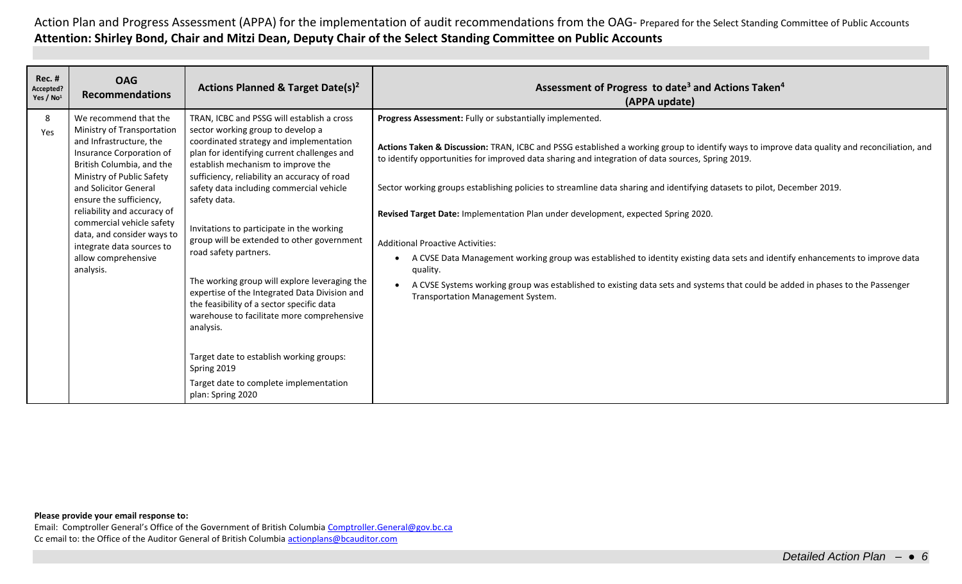| <b>Rec. #</b><br>Accepted?<br>Yes / No <sup>1</sup> | <b>OAG</b><br><b>Recommendations</b>                                                                                                                                                                                                                                                                                                                                                | Actions Planned & Target Date(s) <sup>2</sup>                                                                                                                                                                                                                                                                                                                                                                                                                                                                                                                                                                                                                                                                                                                                       | Assessment of Progress to date <sup>3</sup> and Actions Taken <sup>4</sup><br>(APPA update)                                                                                                                                                                                                                                                                                                                                                                                                                                                                                                                                                                                                                                                                                                                                                                                                  |
|-----------------------------------------------------|-------------------------------------------------------------------------------------------------------------------------------------------------------------------------------------------------------------------------------------------------------------------------------------------------------------------------------------------------------------------------------------|-------------------------------------------------------------------------------------------------------------------------------------------------------------------------------------------------------------------------------------------------------------------------------------------------------------------------------------------------------------------------------------------------------------------------------------------------------------------------------------------------------------------------------------------------------------------------------------------------------------------------------------------------------------------------------------------------------------------------------------------------------------------------------------|----------------------------------------------------------------------------------------------------------------------------------------------------------------------------------------------------------------------------------------------------------------------------------------------------------------------------------------------------------------------------------------------------------------------------------------------------------------------------------------------------------------------------------------------------------------------------------------------------------------------------------------------------------------------------------------------------------------------------------------------------------------------------------------------------------------------------------------------------------------------------------------------|
| 8<br>Yes                                            | We recommend that the<br>Ministry of Transportation<br>and Infrastructure, the<br>Insurance Corporation of<br>British Columbia, and the<br>Ministry of Public Safety<br>and Solicitor General<br>ensure the sufficiency,<br>reliability and accuracy of<br>commercial vehicle safety<br>data, and consider ways to<br>integrate data sources to<br>allow comprehensive<br>analysis. | TRAN, ICBC and PSSG will establish a cross<br>sector working group to develop a<br>coordinated strategy and implementation<br>plan for identifying current challenges and<br>establish mechanism to improve the<br>sufficiency, reliability an accuracy of road<br>safety data including commercial vehicle<br>safety data.<br>Invitations to participate in the working<br>group will be extended to other government<br>road safety partners.<br>The working group will explore leveraging the<br>expertise of the Integrated Data Division and<br>the feasibility of a sector specific data<br>warehouse to facilitate more comprehensive<br>analysis.<br>Target date to establish working groups:<br>Spring 2019<br>Target date to complete implementation<br>plan: Spring 2020 | Progress Assessment: Fully or substantially implemented.<br>Actions Taken & Discussion: TRAN, ICBC and PSSG established a working group to identify ways to improve data quality and reconciliation, and<br>to identify opportunities for improved data sharing and integration of data sources, Spring 2019.<br>Sector working groups establishing policies to streamline data sharing and identifying datasets to pilot, December 2019.<br>Revised Target Date: Implementation Plan under development, expected Spring 2020.<br><b>Additional Proactive Activities:</b><br>A CVSE Data Management working group was established to identity existing data sets and identify enhancements to improve data<br>quality.<br>A CVSE Systems working group was established to existing data sets and systems that could be added in phases to the Passenger<br>Transportation Management System. |

## **Please provide your email response to:**